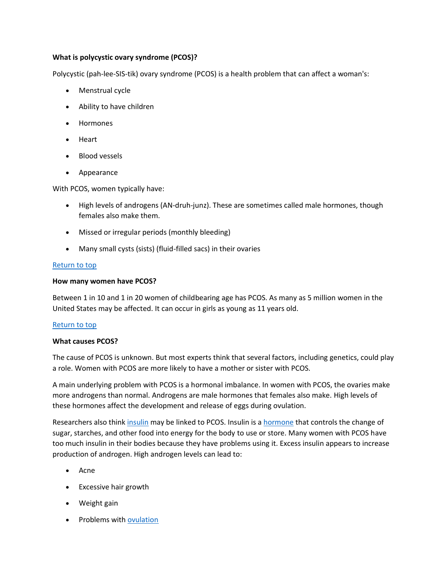# **What is polycystic ovary syndrome (PCOS)?**

Polycystic (pah-lee-SIS-tik) ovary syndrome (PCOS) is a health problem that can affect a woman's:

- Menstrual cycle
- Ability to have children
- Hormones
- Heart
- Blood vessels
- Appearance

With PCOS, women typically have:

- High levels of androgens (AN-druh-junz). These are sometimes called male hormones, though females also make them.
- Missed or irregular periods (monthly bleeding)
- Many small cysts (sists) (fluid-filled sacs) in their ovaries

### [Return to top](http://womenshealth.gov/publications/our-publications/fact-sheet/polycystic-ovary-syndrome.html#top)

### **How many women have PCOS?**

Between 1 in 10 and 1 in 20 women of childbearing age has PCOS. As many as 5 million women in the United States may be affected. It can occur in girls as young as 11 years old.

### [Return to top](http://womenshealth.gov/publications/our-publications/fact-sheet/polycystic-ovary-syndrome.html#top)

### **What causes PCOS?**

The cause of PCOS is unknown. But most experts think that several factors, including genetics, could play a role. Women with PCOS are more likely to have a mother or sister with PCOS.

A main underlying problem with PCOS is a hormonal imbalance. In women with PCOS, the ovaries make more androgens than normal. Androgens are male hormones that females also make. High levels of these hormones affect the development and release of eggs during ovulation.

Researchers also think [insulin](http://www.womenshealth.gov/glossary/index.html#insulin) may be linked to PCOS. Insulin is a [hormone](http://www.womenshealth.gov/glossary/index.html#hormone) that controls the change of sugar, starches, and other food into energy for the body to use or store. Many women with PCOS have too much insulin in their bodies because they have problems using it. Excess insulin appears to increase production of androgen. High androgen levels can lead to:

- Acne
- Excessive hair growth
- Weight gain
- Problems with [ovulation](http://www.womenshealth.gov/glossary/index.html#ovulation)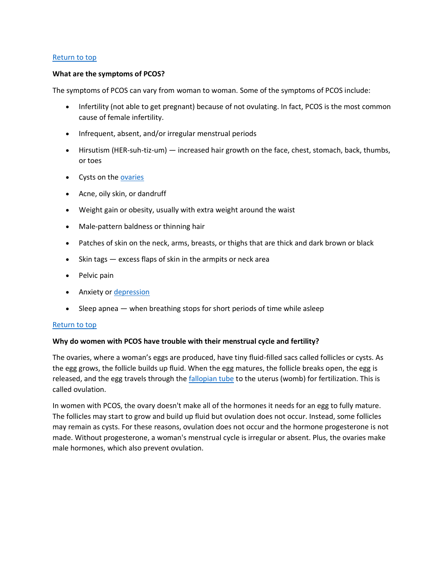### [Return to top](http://womenshealth.gov/publications/our-publications/fact-sheet/polycystic-ovary-syndrome.html#top)

### **What are the symptoms of PCOS?**

The symptoms of PCOS can vary from woman to woman. Some of the symptoms of PCOS include:

- Infertility (not able to get pregnant) because of not ovulating. In fact, PCOS is the most common cause of female infertility.
- Infrequent, absent, and/or irregular menstrual periods
- Hirsutism (HER-suh-tiz-um) increased hair growth on the face, chest, stomach, back, thumbs, or toes
- Cysts on the [ovaries](http://www.womenshealth.gov/glossary/index.html#ovaries)
- Acne, oily skin, or dandruff
- Weight gain or obesity, usually with extra weight around the waist
- Male-pattern baldness or thinning hair
- Patches of skin on the neck, arms, breasts, or thighs that are thick and dark brown or black
- Skin tags excess flaps of skin in the armpits or neck area
- Pelvic pain
- Anxiety or [depression](http://www.womenshealth.gov/glossary/index.html#depression)
- Sleep apnea when breathing stops for short periods of time while asleep

### [Return to top](http://womenshealth.gov/publications/our-publications/fact-sheet/polycystic-ovary-syndrome.html#top)

### **Why do women with PCOS have trouble with their menstrual cycle and fertility?**

The ovaries, where a woman's eggs are produced, have tiny fluid-filled sacs called follicles or cysts. As the egg grows, the follicle builds up fluid. When the egg matures, the follicle breaks open, the egg is released, and the egg travels through th[e fallopian tube](http://www.womenshealth.gov/glossary/index.html#fallopian) to the uterus (womb) for fertilization. This is called ovulation.

In women with PCOS, the ovary doesn't make all of the hormones it needs for an egg to fully mature. The follicles may start to grow and build up fluid but ovulation does not occur. Instead, some follicles may remain as cysts. For these reasons, ovulation does not occur and the hormone progesterone is not made. Without progesterone, a woman's menstrual cycle is irregular or absent. Plus, the ovaries make male hormones, which also prevent ovulation.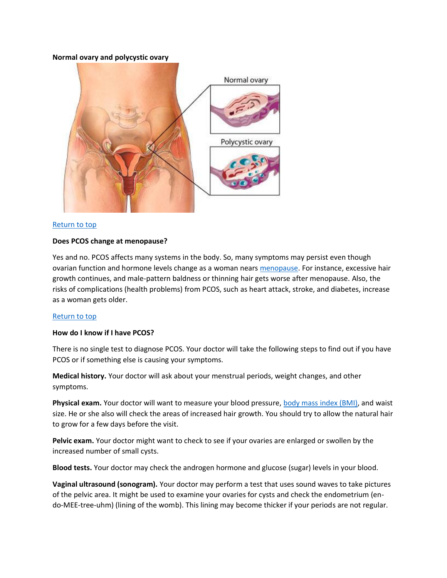#### **Normal ovary and polycystic ovary**



#### [Return to top](http://womenshealth.gov/publications/our-publications/fact-sheet/polycystic-ovary-syndrome.html#top)

#### **Does PCOS change at menopause?**

Yes and no. PCOS affects many systems in the body. So, many symptoms may persist even though ovarian function and hormone levels change as a woman nears [menopause.](http://www.womenshealth.gov/glossary/index.html#menopause) For instance, excessive hair growth continues, and male-pattern baldness or thinning hair gets worse after menopause. Also, the risks of complications (health problems) from PCOS, such as heart attack, stroke, and diabetes, increase as a woman gets older.

#### [Return to top](http://womenshealth.gov/publications/our-publications/fact-sheet/polycystic-ovary-syndrome.html#top)

#### **How do I know if I have PCOS?**

There is no single test to diagnose PCOS. Your doctor will take the following steps to find out if you have PCOS or if something else is causing your symptoms.

**Medical history.** Your doctor will ask about your menstrual periods, weight changes, and other symptoms.

**Physical exam.** Your doctor will want to measure your blood pressure, [body mass index \(BMI\),](http://womenshealth.gov/publications/our-publications/fact-sheet/.http:/www.womenshealth.gov/glossary/index.html#bmi) and waist size. He or she also will check the areas of increased hair growth. You should try to allow the natural hair to grow for a few days before the visit.

**Pelvic exam.** Your doctor might want to check to see if your ovaries are enlarged or swollen by the increased number of small cysts.

**Blood tests.** Your doctor may check the androgen hormone and glucose (sugar) levels in your blood.

**Vaginal ultrasound (sonogram).** Your doctor may perform a test that uses sound waves to take pictures of the pelvic area. It might be used to examine your ovaries for cysts and check the endometrium (endo-MEE-tree-uhm) (lining of the womb). This lining may become thicker if your periods are not regular.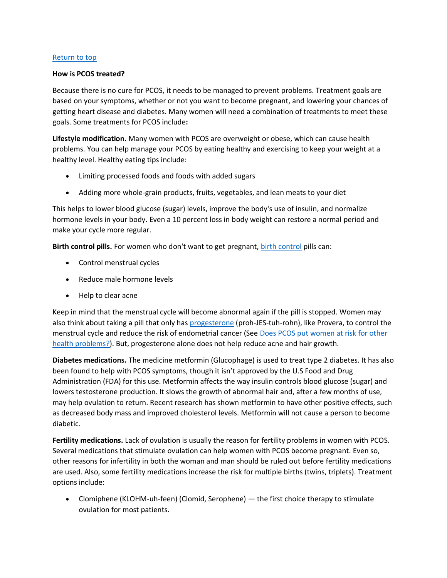### [Return to top](http://womenshealth.gov/publications/our-publications/fact-sheet/polycystic-ovary-syndrome.html#top)

### **How is PCOS treated?**

Because there is no cure for PCOS, it needs to be managed to prevent problems. Treatment goals are based on your symptoms, whether or not you want to become pregnant, and lowering your chances of getting heart disease and diabetes. Many women will need a combination of treatments to meet these goals. Some treatments for PCOS include**:**

**Lifestyle modification.** Many women with PCOS are overweight or obese, which can cause health problems. You can help manage your PCOS by eating healthy and exercising to keep your weight at a healthy level. Healthy eating tips include:

- Limiting processed foods and foods with added sugars
- Adding more whole-grain products, fruits, vegetables, and lean meats to your diet

This helps to lower blood glucose (sugar) levels, improve the body's use of insulin, and normalize hormone levels in your body. Even a 10 percent loss in body weight can restore a normal period and make your cycle more regular.

**Birth control pills.** For women who don't want to get pregnant, [birth control](http://womenshealth.gov/publications/our-publications/fact-sheet/birth-control-methods.html) pills can:

- Control menstrual cycles
- Reduce male hormone levels
- Help to clear acne

Keep in mind that the menstrual cycle will become abnormal again if the pill is stopped. Women may also think about taking a pill that only has [progesterone](http://www.womenshealth.gov/glossary/index.html#progesterone) (proh-JES-tuh-rohn), like Provera, to control the menstrual cycle and reduce the risk of endometrial cancer (See Does PCOS put women at risk for other [health problems?\)](http://womenshealth.gov/publications/our-publications/fact-sheet/polycystic-ovary-syndrome.html#j). But, progesterone alone does not help reduce acne and hair growth.

**Diabetes medications.** The medicine metformin (Glucophage) is used to treat type 2 diabetes. It has also been found to help with PCOS symptoms, though it isn't approved by the U.S Food and Drug Administration (FDA) for this use. Metformin affects the way insulin controls blood glucose (sugar) and lowers testosterone production. It slows the growth of abnormal hair and, after a few months of use, may help ovulation to return. Recent research has shown metformin to have other positive effects, such as decreased body mass and improved cholesterol levels. Metformin will not cause a person to become diabetic.

**Fertility medications.** Lack of ovulation is usually the reason for fertility problems in women with PCOS. Several medications that stimulate ovulation can help women with PCOS become pregnant. Even so, other reasons for infertility in both the woman and man should be ruled out before fertility medications are used. Also, some fertility medications increase the risk for multiple births (twins, triplets). Treatment options include:

 Clomiphene (KLOHM-uh-feen) (Clomid, Serophene) — the first choice therapy to stimulate ovulation for most patients.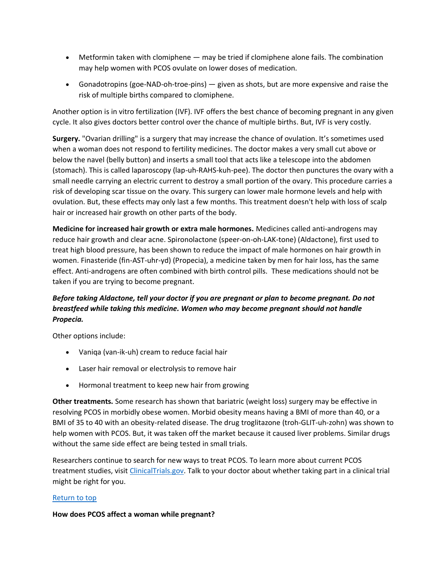- Metformin taken with clomiphene may be tried if clomiphene alone fails. The combination may help women with PCOS ovulate on lower doses of medication.
- Gonadotropins (goe-NAD-oh-troe-pins) given as shots, but are more expensive and raise the risk of multiple births compared to clomiphene.

Another option is in vitro fertilization (IVF). IVF offers the best chance of becoming pregnant in any given cycle. It also gives doctors better control over the chance of multiple births. But, IVF is very costly.

**Surgery.** "Ovarian drilling" is a surgery that may increase the chance of ovulation. It's sometimes used when a woman does not respond to fertility medicines. The doctor makes a very small cut above or below the navel (belly button) and inserts a small tool that acts like a telescope into the abdomen (stomach). This is called laparoscopy (lap-uh-RAHS-kuh-pee). The doctor then punctures the ovary with a small needle carrying an electric current to destroy a small portion of the ovary. This procedure carries a risk of developing scar tissue on the ovary. This surgery can lower male hormone levels and help with ovulation. But, these effects may only last a few months. This treatment doesn't help with loss of scalp hair or increased hair growth on other parts of the body.

**Medicine for increased hair growth or extra male hormones.** Medicines called anti-androgens may reduce hair growth and clear acne. Spironolactone (speer-on-oh-LAK-tone) (Aldactone), first used to treat high blood pressure, has been shown to reduce the impact of male hormones on hair growth in women. Finasteride (fin-AST-uhr-yd) (Propecia), a medicine taken by men for hair loss, has the same effect. Anti-androgens are often combined with birth control pills. These medications should not be taken if you are trying to become pregnant.

# *Before taking Aldactone, tell your doctor if you are pregnant or plan to become pregnant. Do not breastfeed while taking this medicine. Women who may become pregnant should not handle Propecia.*

Other options include:

- Vaniqa (van-ik-uh) cream to reduce facial hair
- Laser hair removal or electrolysis to remove hair
- Hormonal treatment to keep new hair from growing

**Other treatments.** Some research has shown that bariatric (weight loss) surgery may be effective in resolving PCOS in morbidly obese women. Morbid obesity means having a BMI of more than 40, or a BMI of 35 to 40 with an obesity-related disease. The drug troglitazone (troh-GLIT-uh-zohn) was shown to help women with PCOS. But, it was taken off the market because it caused liver problems. Similar drugs without the same side effect are being tested in small trials.

Researchers continue to search for new ways to treat PCOS. To learn more about current PCOS treatment studies, visi[t ClinicalTrials.gov.](http://clinicaltrials.gov/) Talk to your doctor about whether taking part in a clinical trial might be right for you.

### [Return to top](http://womenshealth.gov/publications/our-publications/fact-sheet/polycystic-ovary-syndrome.html#top)

**How does PCOS affect a woman while pregnant?**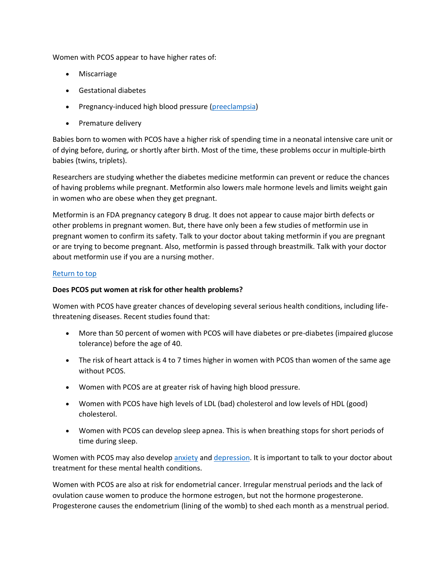Women with PCOS appear to have higher rates of:

- Miscarriage
- Gestational diabetes
- Pregnancy-induced high blood pressure [\(preeclampsia\)](http://www.womenshealth.gov/glossary/index.html#preeclampsia)
- Premature delivery

Babies born to women with PCOS have a higher risk of spending time in a neonatal intensive care unit or of dying before, during, or shortly after birth. Most of the time, these problems occur in multiple-birth babies (twins, triplets).

Researchers are studying whether the diabetes medicine metformin can prevent or reduce the chances of having problems while pregnant. Metformin also lowers male hormone levels and limits weight gain in women who are obese when they get pregnant.

Metformin is an FDA pregnancy category B drug. It does not appear to cause major birth defects or other problems in pregnant women. But, there have only been a few studies of metformin use in pregnant women to confirm its safety. Talk to your doctor about taking metformin if you are pregnant or are trying to become pregnant. Also, metformin is passed through breastmilk. Talk with your doctor about metformin use if you are a nursing mother.

### [Return to top](http://womenshealth.gov/publications/our-publications/fact-sheet/polycystic-ovary-syndrome.html#top)

### **Does PCOS put women at risk for other health problems?**

Women with PCOS have greater chances of developing several serious health conditions, including lifethreatening diseases. Recent studies found that:

- More than 50 percent of women with PCOS will have diabetes or pre-diabetes (impaired glucose tolerance) before the age of 40.
- The risk of heart attack is 4 to 7 times higher in women with PCOS than women of the same age without PCOS.
- Women with PCOS are at greater risk of having high blood pressure.
- Women with PCOS have high levels of LDL (bad) cholesterol and low levels of HDL (good) cholesterol.
- Women with PCOS can develop sleep apnea. This is when breathing stops for short periods of time during sleep.

Women with PCOS may also develop [anxiety](http://www.womenshealth.gov/glossary/index.html#anxiety_disorder) and [depression.](http://www.womenshealth.gov/glossary/index.html#depression) It is important to talk to your doctor about treatment for these mental health conditions.

Women with PCOS are also at risk for endometrial cancer. Irregular menstrual periods and the lack of ovulation cause women to produce the hormone estrogen, but not the hormone progesterone. Progesterone causes the endometrium (lining of the womb) to shed each month as a menstrual period.